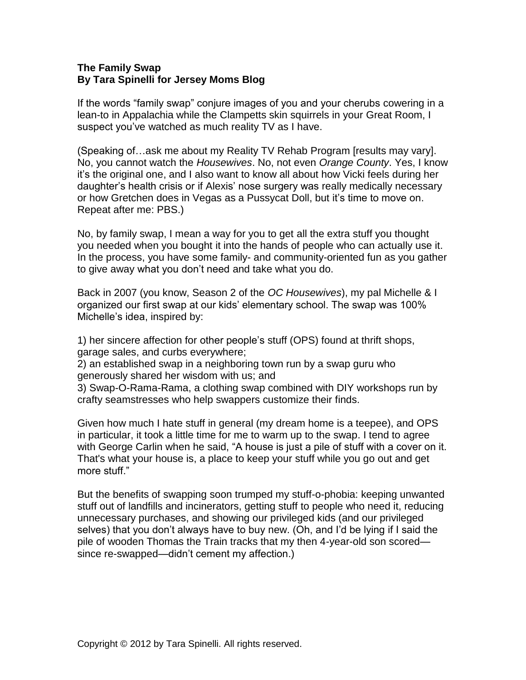## **The Family Swap By Tara Spinelli for Jersey Moms Blog**

If the words "family swap" conjure images of you and your cherubs cowering in a lean-to in Appalachia while the Clampetts skin squirrels in your Great Room, I suspect you've watched as much reality TV as I have.

(Speaking of…ask me about my Reality TV Rehab Program [results may vary]. No, you cannot watch the *Housewives*. No, not even *Orange County*. Yes, I know it's the original one, and I also want to know all about how Vicki feels during her daughter's health crisis or if Alexis' nose surgery was really medically necessary or how Gretchen does in Vegas as a Pussycat Doll, but it's time to move on. Repeat after me: PBS.)

No, by family swap, I mean a way for you to get all the extra stuff you thought you needed when you bought it into the hands of people who can actually use it. In the process, you have some family- and community-oriented fun as you gather to give away what you don't need and take what you do.

Back in 2007 (you know, Season 2 of the *OC Housewives*), my pal Michelle & I organized our first swap at our kids' elementary school. The swap was 100% Michelle's idea, inspired by:

1) her sincere affection for other people's stuff (OPS) found at thrift shops, garage sales, and curbs everywhere;

2) an established swap in a neighboring town run by a swap guru who generously shared her wisdom with us; and

3) Swap-O-Rama-Rama, a clothing swap combined with DIY workshops run by crafty seamstresses who help swappers customize their finds.

Given how much I hate stuff in general (my dream home is a teepee), and OPS in particular, it took a little time for me to warm up to the swap. I tend to agree with George Carlin when he said, "A house is just a pile of stuff with a cover on it. That's what your house is, a place to keep your stuff while you go out and get more stuff."

But the benefits of swapping soon trumped my stuff-o-phobia: keeping unwanted stuff out of landfills and incinerators, getting stuff to people who need it, reducing unnecessary purchases, and showing our privileged kids (and our privileged selves) that you don't always have to buy new. (Oh, and I'd be lying if I said the pile of wooden Thomas the Train tracks that my then 4-year-old son scored since re-swapped—didn't cement my affection.)